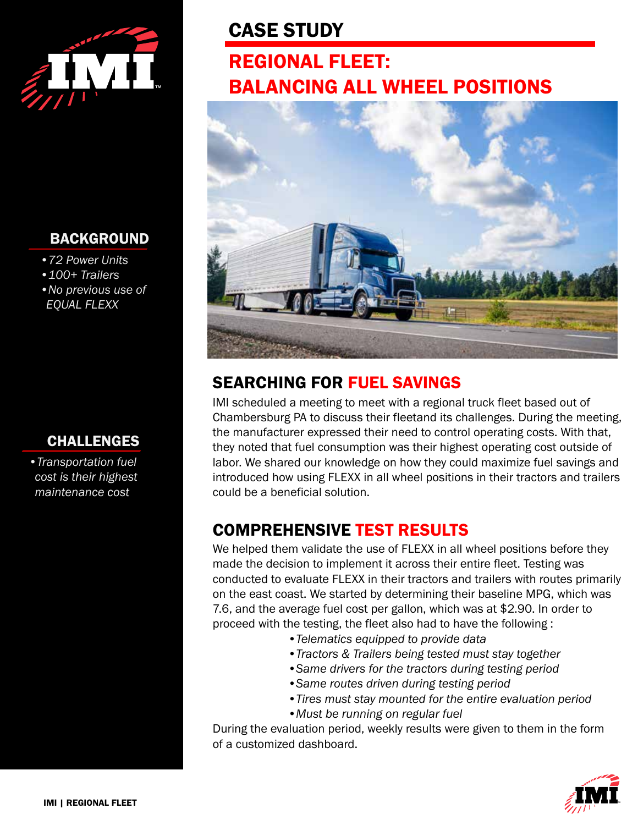

### BACKGROUND

- *•72 Power Units*
- *•100+ Trailers*
- *•No previous use of EQUAL FLEXX*

## CHALLENGES

*•Transportation fuel cost is their highest maintenance cost*

# CASE STUDY

# REGIONAL FLEET: BALANCING ALL WHEEL POSITIONS



# SEARCHING FOR FUEL SAVINGS

IMI scheduled a meeting to meet with a regional truck fleet based out of Chambersburg PA to discuss their fleetand its challenges. During the meeting, the manufacturer expressed their need to control operating costs. With that, they noted that fuel consumption was their highest operating cost outside of labor. We shared our knowledge on how they could maximize fuel savings and introduced how using FLEXX in all wheel positions in their tractors and trailers could be a beneficial solution.

# COMPREHENSIVE TEST RESULTS

We helped them validate the use of FLEXX in all wheel positions before they made the decision to implement it across their entire fleet. Testing was conducted to evaluate FLEXX in their tractors and trailers with routes primarily on the east coast. We started by determining their baseline MPG, which was 7.6, and the average fuel cost per gallon, which was at \$2.90. In order to proceed with the testing, the fleet also had to have the following :

- *•Telematics equipped to provide data*
- *•Tractors & Trailers being tested must stay together*
- *•Same drivers for the tractors during testing period*
- *•Same routes driven during testing period*
- *•Tires must stay mounted for the entire evaluation period*
- *•Must be running on regular fuel*

During the evaluation period, weekly results were given to them in the form of a customized dashboard.